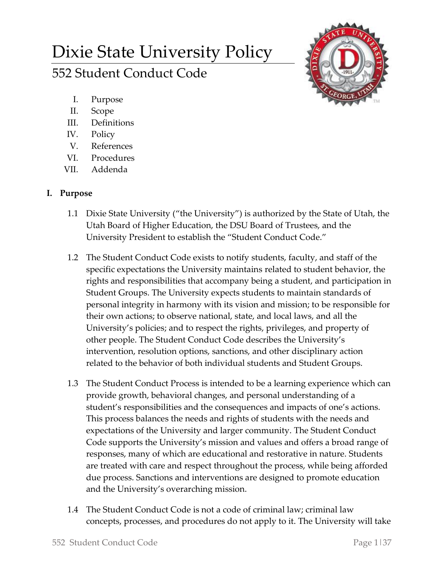# Dixie State University Policy 552 Student Conduct Code



- I. Purpose
- II. Scope
- III. Definitions
- IV. Policy
- V. References
- VI. Procedures
- VII. Addenda

## **I. Purpose**

- 1.1 Dixie State University ("the University") is authorized by the State of Utah, the Utah Board of Higher Education, the DSU Board of Trustees, and the University President to establish the "Student Conduct Code."
- 1.2 The Student Conduct Code exists to notify students, faculty, and staff of the specific expectations the University maintains related to student behavior, the rights and responsibilities that accompany being a student, and participation in Student Groups. The University expects students to maintain standards of personal integrity in harmony with its vision and mission; to be responsible for their own actions; to observe national, state, and local laws, and all the University's policies; and to respect the rights, privileges, and property of other people. The Student Conduct Code describes the University's intervention, resolution options, sanctions, and other disciplinary action related to the behavior of both individual students and Student Groups.
- 1.3 The Student Conduct Process is intended to be a learning experience which can provide growth, behavioral changes, and personal understanding of a student's responsibilities and the consequences and impacts of one's actions. This process balances the needs and rights of students with the needs and expectations of the University and larger community. The Student Conduct Code supports the University's mission and values and offers a broad range of responses, many of which are educational and restorative in nature. Students are treated with care and respect throughout the process, while being afforded due process. Sanctions and interventions are designed to promote education and the University's overarching mission.
- 1.4 The Student Conduct Code is not a code of criminal law; criminal law concepts, processes, and procedures do not apply to it. The University will take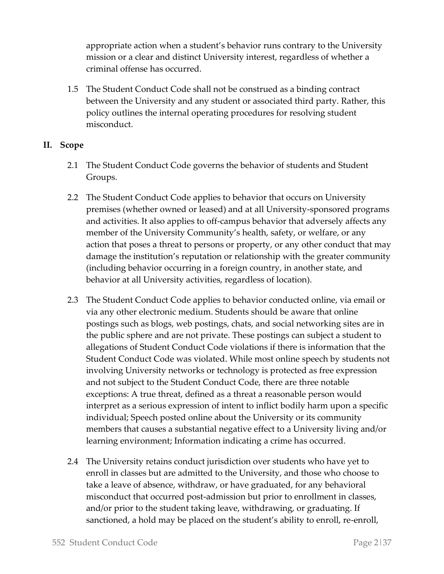appropriate action when a student's behavior runs contrary to the University mission or a clear and distinct University interest, regardless of whether a criminal offense has occurred.

1.5 The Student Conduct Code shall not be construed as a binding contract between the University and any student or associated third party. Rather, this policy outlines the internal operating procedures for resolving student misconduct.

## **II. Scope**

- 2.1 The Student Conduct Code governs the behavior of students and Student Groups.
- 2.2 The Student Conduct Code applies to behavior that occurs on University premises (whether owned or leased) and at all University-sponsored programs and activities. It also applies to off-campus behavior that adversely affects any member of the University Community's health, safety, or welfare, or any action that poses a threat to persons or property, or any other conduct that may damage the institution's reputation or relationship with the greater community (including behavior occurring in a foreign country, in another state, and behavior at all University activities, regardless of location).
- 2.3 The Student Conduct Code applies to behavior conducted online, via email or via any other electronic medium. Students should be aware that online postings such as blogs, web postings, chats, and social networking sites are in the public sphere and are not private. These postings can subject a student to allegations of Student Conduct Code violations if there is information that the Student Conduct Code was violated. While most online speech by students not involving University networks or technology is protected as free expression and not subject to the Student Conduct Code, there are three notable exceptions: A true threat, defined as a threat a reasonable person would interpret as a serious expression of intent to inflict bodily harm upon a specific individual; Speech posted online about the University or its community members that causes a substantial negative effect to a University living and/or learning environment; Information indicating a crime has occurred.
- 2.4 The University retains conduct jurisdiction over students who have yet to enroll in classes but are admitted to the University, and those who choose to take a leave of absence, withdraw, or have graduated, for any behavioral misconduct that occurred post-admission but prior to enrollment in classes, and/or prior to the student taking leave, withdrawing, or graduating. If sanctioned, a hold may be placed on the student's ability to enroll, re-enroll,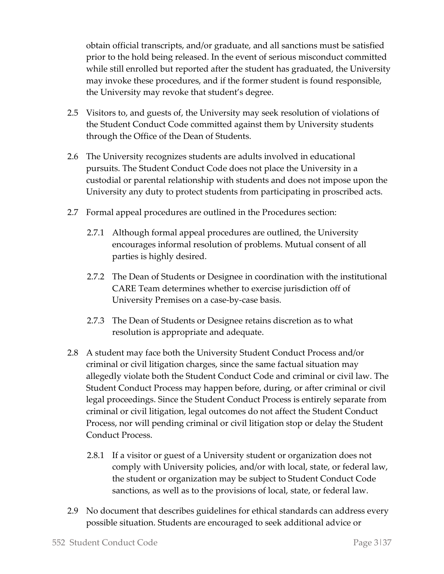obtain official transcripts, and/or graduate, and all sanctions must be satisfied prior to the hold being released. In the event of serious misconduct committed while still enrolled but reported after the student has graduated, the University may invoke these procedures, and if the former student is found responsible, the University may revoke that student's degree.

- 2.5 Visitors to, and guests of, the University may seek resolution of violations of the Student Conduct Code committed against them by University students through the Office of the Dean of Students.
- 2.6 The University recognizes students are adults involved in educational pursuits. The Student Conduct Code does not place the University in a custodial or parental relationship with students and does not impose upon the University any duty to protect students from participating in proscribed acts.
- 2.7 Formal appeal procedures are outlined in the Procedures section:
	- 2.7.1 Although formal appeal procedures are outlined, the University encourages informal resolution of problems. Mutual consent of all parties is highly desired.
	- 2.7.2 The Dean of Students or Designee in coordination with the institutional CARE Team determines whether to exercise jurisdiction off of University Premises on a case-by-case basis.
	- 2.7.3 The Dean of Students or Designee retains discretion as to what resolution is appropriate and adequate.
- 2.8 A student may face both the University Student Conduct Process and/or criminal or civil litigation charges, since the same factual situation may allegedly violate both the Student Conduct Code and criminal or civil law. The Student Conduct Process may happen before, during, or after criminal or civil legal proceedings. Since the Student Conduct Process is entirely separate from criminal or civil litigation, legal outcomes do not affect the Student Conduct Process, nor will pending criminal or civil litigation stop or delay the Student Conduct Process.
	- 2.8.1 If a visitor or guest of a University student or organization does not comply with University policies, and/or with local, state, or federal law, the student or organization may be subject to Student Conduct Code sanctions, as well as to the provisions of local, state, or federal law.
- 2.9 No document that describes guidelines for ethical standards can address every possible situation. Students are encouraged to seek additional advice or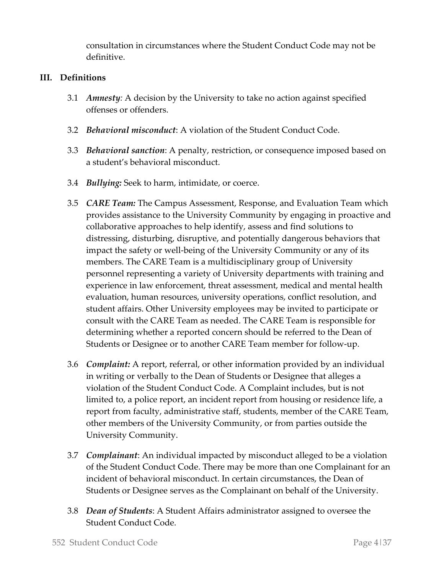consultation in circumstances where the Student Conduct Code may not be definitive.

#### **III. Definitions**

- 3.1 *Amnesty:* A decision by the University to take no action against specified offenses or offenders.
- 3.2 *Behavioral misconduct*: A violation of the Student Conduct Code.
- 3.3 *Behavioral sanction*: A penalty, restriction, or consequence imposed based on a student's behavioral misconduct.
- 3.4 *Bullying:* Seek to harm, intimidate, or coerce.
- 3.5 *CARE Team:* The Campus Assessment, Response, and Evaluation Team which provides assistance to the University Community by engaging in proactive and collaborative approaches to help identify, assess and find solutions to distressing, disturbing, disruptive, and potentially dangerous behaviors that impact the safety or well-being of the University Community or any of its members. The CARE Team is a multidisciplinary group of University personnel representing a variety of University departments with training and experience in law enforcement, threat assessment, medical and mental health evaluation, human resources, university operations, conflict resolution, and student affairs. Other University employees may be invited to participate or consult with the CARE Team as needed. The CARE Team is responsible for determining whether a reported concern should be referred to the Dean of Students or Designee or to another CARE Team member for follow-up.
- 3.6 *Complaint:* A report, referral, or other information provided by an individual in writing or verbally to the Dean of Students or Designee that alleges a violation of the Student Conduct Code. A Complaint includes, but is not limited to, a police report, an incident report from housing or residence life, a report from faculty, administrative staff, students, member of the CARE Team, other members of the University Community, or from parties outside the University Community.
- 3.7 *Complainant*: An individual impacted by misconduct alleged to be a violation of the Student Conduct Code. There may be more than one Complainant for an incident of behavioral misconduct. In certain circumstances, the Dean of Students or Designee serves as the Complainant on behalf of the University.
- 3.8 *Dean of Students*: A Student Affairs administrator assigned to oversee the Student Conduct Code.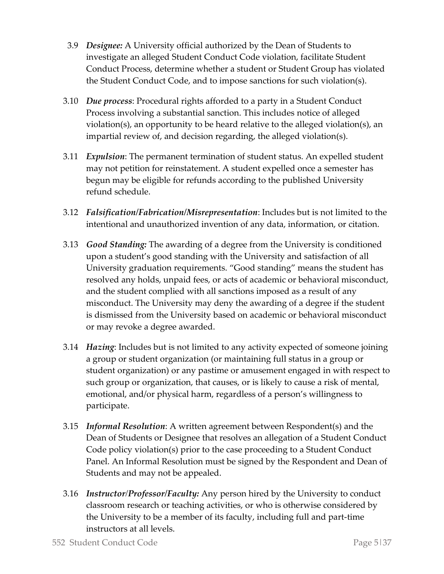- 3.9 *Designee:* A University official authorized by the Dean of Students to investigate an alleged Student Conduct Code violation, facilitate Student Conduct Process, determine whether a student or Student Group has violated the Student Conduct Code, and to impose sanctions for such violation(s).
- 3.10 *Due process*: Procedural rights afforded to a party in a Student Conduct Process involving a substantial sanction. This includes notice of alleged violation(s), an opportunity to be heard relative to the alleged violation(s), an impartial review of, and decision regarding, the alleged violation(s).
- 3.11 *Expulsion*: The permanent termination of student status. An expelled student may not petition for reinstatement. A student expelled once a semester has begun may be eligible for refunds according to the published University refund schedule.
- 3.12 *Falsification/Fabrication/Misrepresentation*: Includes but is not limited to the intentional and unauthorized invention of any data, information, or citation.
- 3.13 *Good Standing:* The awarding of a degree from the University is conditioned upon a student's good standing with the University and satisfaction of all University graduation requirements. "Good standing" means the student has resolved any holds, unpaid fees, or acts of academic or behavioral misconduct, and the student complied with all sanctions imposed as a result of any misconduct. The University may deny the awarding of a degree if the student is dismissed from the University based on academic or behavioral misconduct or may revoke a degree awarded.
- 3.14 *Hazing*: Includes but is not limited to any activity expected of someone joining a group or student organization (or maintaining full status in a group or student organization) or any pastime or amusement engaged in with respect to such group or organization, that causes, or is likely to cause a risk of mental, emotional, and/or physical harm, regardless of a person's willingness to participate.
- 3.15 *Informal Resolution*: A written agreement between Respondent(s) and the Dean of Students or Designee that resolves an allegation of a Student Conduct Code policy violation(s) prior to the case proceeding to a Student Conduct Panel. An Informal Resolution must be signed by the Respondent and Dean of Students and may not be appealed.
- 3.16 *Instructor/Professor/Faculty:* Any person hired by the University to conduct classroom research or teaching activities, or who is otherwise considered by the University to be a member of its faculty, including full and part-time instructors at all levels.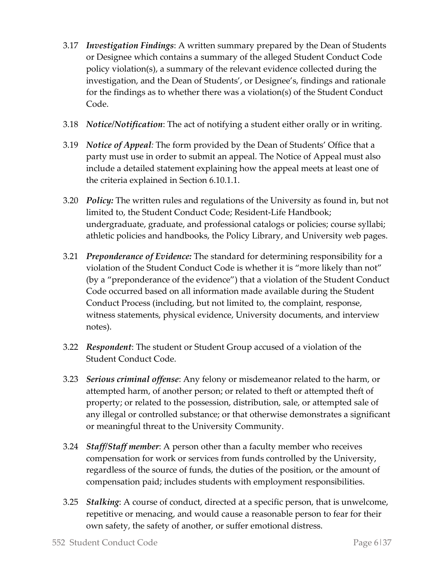- 3.17 *Investigation Findings*: A written summary prepared by the Dean of Students or Designee which contains a summary of the alleged Student Conduct Code policy violation(s), a summary of the relevant evidence collected during the investigation, and the Dean of Students', or Designee's, findings and rationale for the findings as to whether there was a violation(s) of the Student Conduct Code.
- 3.18 *Notice/Notification*: The act of notifying a student either orally or in writing.
- 3.19 *Notice of Appeal:* The form provided by the Dean of Students' Office that a party must use in order to submit an appeal. The Notice of Appeal must also include a detailed statement explaining how the appeal meets at least one of the criteria explained in Section 6.10.1.1.
- 3.20 *Policy:* The written rules and regulations of the University as found in, but not limited to, the Student Conduct Code; Resident-Life Handbook; undergraduate, graduate, and professional catalogs or policies; course syllabi; athletic policies and handbooks, the Policy Library, and University web pages.
- 3.21 *Preponderance of Evidence:* The standard for determining responsibility for a violation of the Student Conduct Code is whether it is "more likely than not" (by a "preponderance of the evidence") that a violation of the Student Conduct Code occurred based on all information made available during the Student Conduct Process (including, but not limited to, the complaint, response, witness statements, physical evidence, University documents, and interview notes).
- 3.22 *Respondent*: The student or Student Group accused of a violation of the Student Conduct Code.
- 3.23 *Serious criminal offense*: Any felony or misdemeanor related to the harm, or attempted harm, of another person; or related to theft or attempted theft of property; or related to the possession, distribution, sale, or attempted sale of any illegal or controlled substance; or that otherwise demonstrates a significant or meaningful threat to the University Community.
- 3.24 *Staff/Staff member*: A person other than a faculty member who receives compensation for work or services from funds controlled by the University, regardless of the source of funds, the duties of the position, or the amount of compensation paid; includes students with employment responsibilities.
- 3.25 *Stalking*: A course of conduct, directed at a specific person, that is unwelcome, repetitive or menacing, and would cause a reasonable person to fear for their own safety, the safety of another, or suffer emotional distress.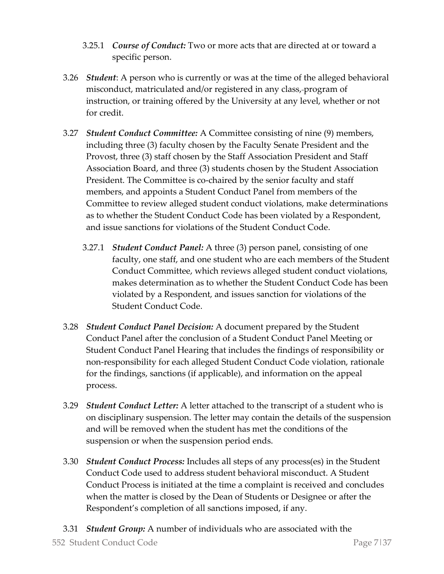- 3.25.1 *Course of Conduct:* [Two or more acts that are directed at or toward a](https://www.lawinsider.com/dictionary/course-of-conduct)  [specific person.](https://www.lawinsider.com/dictionary/course-of-conduct)
- 3.26 *Student*: A person who is currently or was at the time of the alleged behavioral misconduct, matriculated and/or registered in any class, program of instruction, or training offered by the University at any level, whether or not for credit.
- 3.27 *Student Conduct Committee:* A Committee consisting of nine (9) members, including three (3) faculty chosen by the Faculty Senate President and the Provost, three (3) staff chosen by the Staff Association President and Staff Association Board, and three (3) students chosen by the Student Association President. The Committee is co-chaired by the senior faculty and staff members, and appoints a Student Conduct Panel from members of the Committee to review alleged student conduct violations, make determinations as to whether the Student Conduct Code has been violated by a Respondent, and issue sanctions for violations of the Student Conduct Code.
	- 3.27.1 *Student Conduct Panel:* A three (3) person panel, consisting of one faculty, one staff, and one student who are each members of the Student Conduct Committee, which reviews alleged student conduct violations, makes determination as to whether the Student Conduct Code has been violated by a Respondent, and issues sanction for violations of the Student Conduct Code.
- 3.28 *Student Conduct Panel Decision:* A document prepared by the Student Conduct Panel after the conclusion of a Student Conduct Panel Meeting or Student Conduct Panel Hearing that includes the findings of responsibility or non-responsibility for each alleged Student Conduct Code violation, rationale for the findings, sanctions (if applicable), and information on the appeal process.
- 3.29 *Student Conduct Letter:* A letter attached to the transcript of a student who is on disciplinary suspension. The letter may contain the details of the suspension and will be removed when the student has met the conditions of the suspension or when the suspension period ends.
- 3.30 *Student Conduct Process:* Includes all steps of any process(es) in the Student Conduct Code used to address student behavioral misconduct. A Student Conduct Process is initiated at the time a complaint is received and concludes when the matter is closed by the Dean of Students or Designee or after the Respondent's completion of all sanctions imposed, if any.
- 552 Student Conduct Code Page 7|37 3.31 *Student Group:* A number of individuals who are associated with the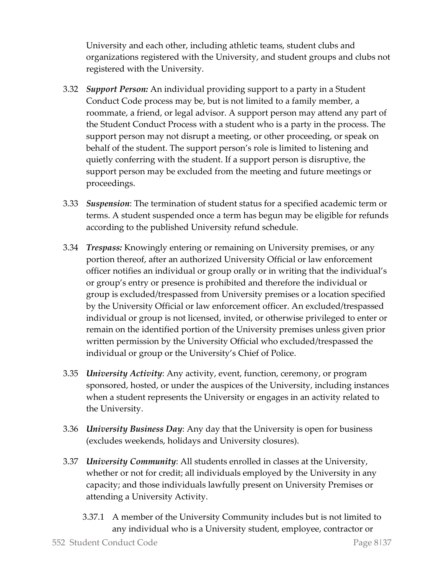University and each other, including athletic teams, student clubs and organizations registered with the University, and student groups and clubs not registered with the University.

- 3.32 *Support Person:* An individual providing support to a party in a Student Conduct Code process may be, but is not limited to a family member, a roommate, a friend, or legal advisor. A support person may attend any part of the Student Conduct Process with a student who is a party in the process. The support person may not disrupt a meeting, or other proceeding, or speak on behalf of the student. The support person's role is limited to listening and quietly conferring with the student. If a support person is disruptive, the support person may be excluded from the meeting and future meetings or proceedings.
- 3.33 *Suspension*: The termination of student status for a specified academic term or terms. A student suspended once a term has begun may be eligible for refunds according to the published University refund schedule.
- 3.34 *Trespass:* Knowingly entering or remaining on University premises, or any portion thereof, after an authorized University Official or law enforcement officer notifies an individual or group orally or in writing that the individual's or group's entry or presence is prohibited and therefore the individual or group is excluded/trespassed from University premises or a location specified by the University Official or law enforcement officer. An excluded/trespassed individual or group is not licensed, invited, or otherwise privileged to enter or remain on the identified portion of the University premises unless given prior written permission by the University Official who excluded/trespassed the individual or group or the University's Chief of Police.
- 3.35 *University Activity*: Any activity, event, function, ceremony, or program sponsored, hosted, or under the auspices of the University, including instances when a student represents the University or engages in an activity related to the University.
- 3.36 *University Business Day*: Any day that the University is open for business (excludes weekends, holidays and University closures).
- 3.37 *University Community*: All students enrolled in classes at the University, whether or not for credit; all individuals employed by the University in any capacity; and those individuals lawfully present on University Premises or attending a University Activity.
	- 3.37.1 A member of the University Community includes but is not limited to any individual who is a University student, employee, contractor or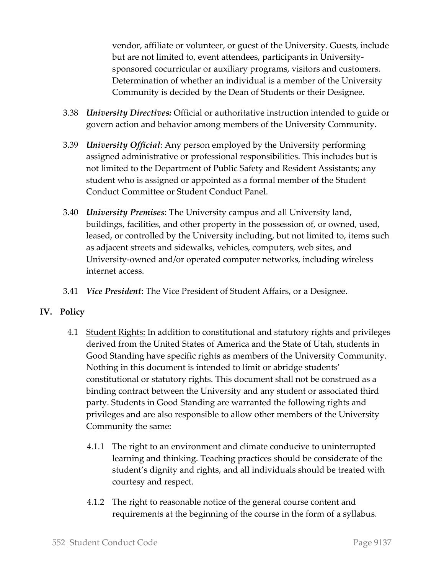vendor, affiliate or volunteer, or guest of the University. Guests, include but are not limited to, event attendees, participants in Universitysponsored cocurricular or auxiliary programs, visitors and customers. Determination of whether an individual is a member of the University Community is decided by the Dean of Students or their Designee.

- 3.38 *University Directives:* Official or authoritative instruction intended to guide or govern action and behavior among members of the University Community.
- 3.39 *University Official*: Any person employed by the University performing assigned administrative or professional responsibilities. This includes but is not limited to the Department of Public Safety and Resident Assistants; any student who is assigned or appointed as a formal member of the Student Conduct Committee or Student Conduct Panel.
- 3.40 *University Premises*: The University campus and all University land, buildings, facilities, and other property in the possession of, or owned, used, leased, or controlled by the University including, but not limited to, items such as adjacent streets and sidewalks, vehicles, computers, web sites, and University-owned and/or operated computer networks, including wireless internet access.
- 3.41 *Vice President*: The Vice President of Student Affairs, or a Designee.

## **IV. Policy**

- 4.1 Student Rights: In addition to constitutional and statutory rights and privileges derived from the United States of America and the State of Utah, students in Good Standing have specific rights as members of the University Community. Nothing in this document is intended to limit or abridge students' constitutional or statutory rights. This document shall not be construed as a binding contract between the University and any student or associated third party. Students in Good Standing are warranted the following rights and privileges and are also responsible to allow other members of the University Community the same:
	- 4.1.1 The right to an environment and climate conducive to uninterrupted learning and thinking. Teaching practices should be considerate of the student's dignity and rights, and all individuals should be treated with courtesy and respect.
	- 4.1.2 The right to reasonable notice of the general course content and requirements at the beginning of the course in the form of a syllabus.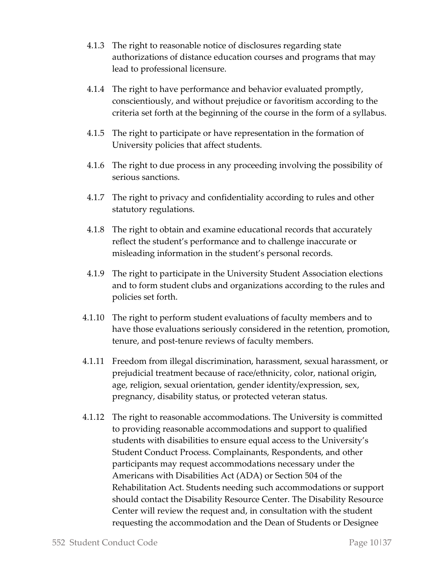- 4.1.3 The right to reasonable notice of disclosures regarding state authorizations of distance education courses and programs that may lead to professional licensure.
- 4.1.4 The right to have performance and behavior evaluated promptly, conscientiously, and without prejudice or favoritism according to the criteria set forth at the beginning of the course in the form of a syllabus.
- 4.1.5 The right to participate or have representation in the formation of University policies that affect students.
- 4.1.6 The right to due process in any proceeding involving the possibility of serious sanctions.
- 4.1.7 The right to privacy and confidentiality according to rules and other statutory regulations.
- 4.1.8 The right to obtain and examine educational records that accurately reflect the student's performance and to challenge inaccurate or misleading information in the student's personal records.
- 4.1.9 The right to participate in the University Student Association elections and to form student clubs and organizations according to the rules and policies set forth.
- 4.1.10 The right to perform student evaluations of faculty members and to have those evaluations seriously considered in the retention, promotion, tenure, and post-tenure reviews of faculty members.
- 4.1.11 Freedom from illegal discrimination, harassment, sexual harassment, or prejudicial treatment because of race/ethnicity, color, national origin, age, religion, sexual orientation, gender identity/expression, sex, pregnancy, disability status, or protected veteran status.
- 4.1.12 The right to reasonable accommodations. The University is committed to providing reasonable accommodations and support to qualified students with disabilities to ensure equal access to the University's Student Conduct Process. Complainants, Respondents, and other participants may request accommodations necessary under the Americans with Disabilities Act (ADA) or Section 504 of the Rehabilitation Act. Students needing such accommodations or support should contact the Disability Resource Center. The Disability Resource Center will review the request and, in consultation with the student requesting the accommodation and the Dean of Students or Designee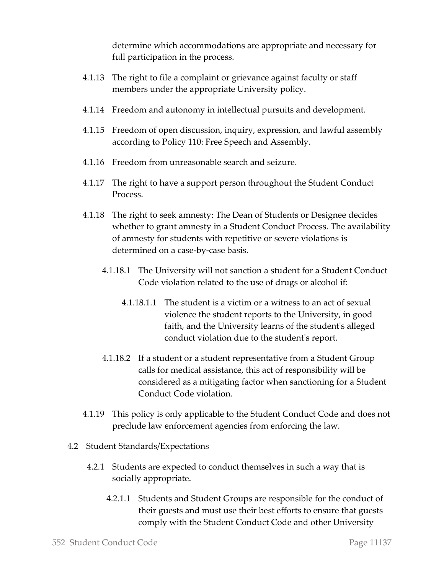determine which accommodations are appropriate and necessary for full participation in the process.

- 4.1.13 The right to file a complaint or grievance against faculty or staff members under the appropriate University policy.
- 4.1.14 Freedom and autonomy in intellectual pursuits and development.
- 4.1.15 Freedom of open discussion, inquiry, expression, and lawful assembly according to Policy 110: Free Speech and Assembly.
- 4.1.16 Freedom from unreasonable search and seizure.
- 4.1.17 The right to have a support person throughout the Student Conduct Process.
- 4.1.18 The right to seek amnesty: The Dean of Students or Designee decides whether to grant amnesty in a Student Conduct Process. The availability of amnesty for students with repetitive or severe violations is determined on a case-by-case basis.
	- 4.1.18.1 The University will not sanction a student for a Student Conduct Code violation related to the use of drugs or alcohol if:
		- 4.1.18.1.1 The student is a victim or a witness to an act of sexual violence the student reports to the University, in good faith, and the University learns of the student's alleged conduct violation due to the student's report.
	- 4.1.18.2 If a student or a student representative from a Student Group calls for medical assistance, this act of responsibility will be considered as a mitigating factor when sanctioning for a Student Conduct Code violation.
- 4.1.19 This policy is only applicable to the Student Conduct Code and does not preclude law enforcement agencies from enforcing the law.
- 4.2 Student Standards/Expectations
	- 4.2.1 Students are expected to conduct themselves in such a way that is socially appropriate.
		- 4.2.1.1 Students and Student Groups are responsible for the conduct of their guests and must use their best efforts to ensure that guests comply with the Student Conduct Code and other University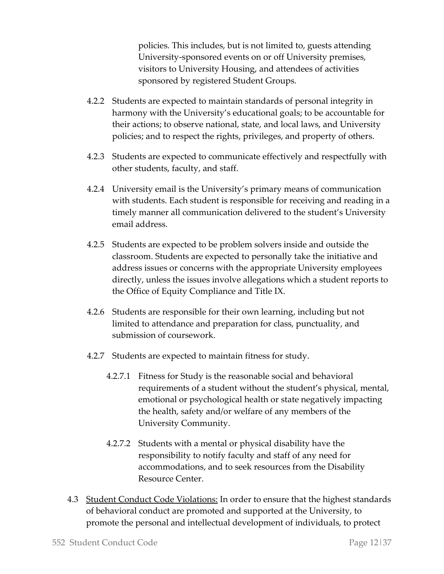policies. This includes, but is not limited to, guests attending University-sponsored events on or off University premises, visitors to University Housing, and attendees of activities sponsored by registered Student Groups.

- 4.2.2 Students are expected to maintain standards of personal integrity in harmony with the University's educational goals; to be accountable for their actions; to observe national, state, and local laws, and University policies; and to respect the rights, privileges, and property of others.
- 4.2.3 Students are expected to communicate effectively and respectfully with other students, faculty, and staff.
- 4.2.4 University email is the University's primary means of communication with students. Each student is responsible for receiving and reading in a timely manner all communication delivered to the student's University email address.
- 4.2.5 Students are expected to be problem solvers inside and outside the classroom. Students are expected to personally take the initiative and address issues or concerns with the appropriate University employees directly, unless the issues involve allegations which a student reports to the Office of Equity Compliance and Title IX.
- 4.2.6 Students are responsible for their own learning, including but not limited to attendance and preparation for class, punctuality, and submission of coursework.
- 4.2.7 Students are expected to maintain fitness for study.
	- 4.2.7.1 Fitness for Study is the reasonable social and behavioral requirements of a student without the student's physical, mental, emotional or psychological health or state negatively impacting the health, safety and/or welfare of any members of the University Community.
	- 4.2.7.2 Students with a mental or physical disability have the responsibility to notify faculty and staff of any need for accommodations, and to seek resources from the Disability Resource Center.
- 4.3 Student Conduct Code Violations: In order to ensure that the highest standards of behavioral conduct are promoted and supported at the University, to promote the personal and intellectual development of individuals, to protect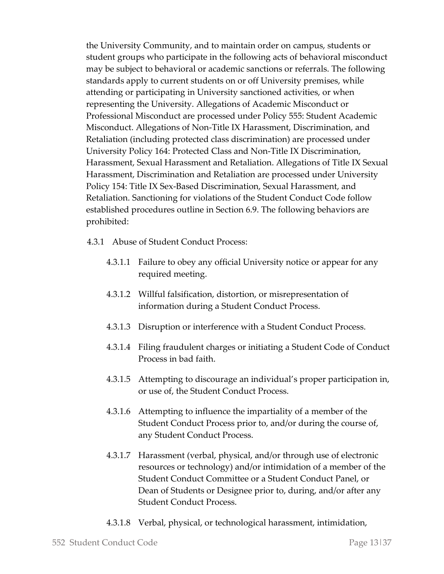the University Community, and to maintain order on campus, students or student groups who participate in the following acts of behavioral misconduct may be subject to behavioral or academic sanctions or referrals. The following standards apply to current students on or off University premises, while attending or participating in University sanctioned activities, or when representing the University. Allegations of Academic Misconduct or Professional Misconduct are processed under Policy 555: Student Academic Misconduct. Allegations of Non-Title IX Harassment, Discrimination, and Retaliation (including protected class discrimination) are processed under University Policy 164: Protected Class and Non-Title IX Discrimination, Harassment, Sexual Harassment and Retaliation. Allegations of Title IX Sexual Harassment, Discrimination and Retaliation are processed under University Policy 154: Title IX Sex-Based Discrimination, Sexual Harassment, and Retaliation. Sanctioning for violations of the Student Conduct Code follow established procedures outline in Section 6.9. The following behaviors are prohibited:

- 4.3.1 Abuse of Student Conduct Process:
	- 4.3.1.1 Failure to obey any official University notice or appear for any required meeting.
	- 4.3.1.2 Willful falsification, distortion, or misrepresentation of information during a Student Conduct Process.
	- 4.3.1.3 Disruption or interference with a Student Conduct Process.
	- 4.3.1.4 Filing fraudulent charges or initiating a Student Code of Conduct Process in bad faith.
	- 4.3.1.5 Attempting to discourage an individual's proper participation in, or use of, the Student Conduct Process.
	- 4.3.1.6 Attempting to influence the impartiality of a member of the Student Conduct Process prior to, and/or during the course of, any Student Conduct Process.
	- 4.3.1.7 Harassment (verbal, physical, and/or through use of electronic resources or technology) and/or intimidation of a member of the Student Conduct Committee or a Student Conduct Panel, or Dean of Students or Designee prior to, during, and/or after any Student Conduct Process.
	- 4.3.1.8 Verbal, physical, or technological harassment, intimidation,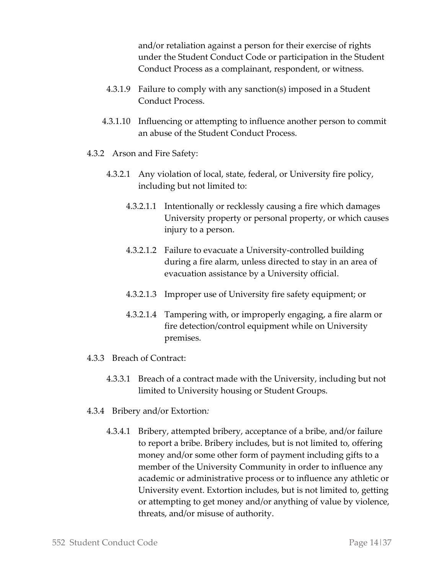and/or retaliation against a person for their exercise of rights under the Student Conduct Code or participation in the Student Conduct Process as a complainant, respondent, or witness.

- 4.3.1.9 Failure to comply with any sanction(s) imposed in a Student Conduct Process.
- 4.3.1.10 Influencing or attempting to influence another person to commit an abuse of the Student Conduct Process.
- 4.3.2 Arson and Fire Safety:
	- 4.3.2.1 Any violation of local, state, federal, or University fire policy, including but not limited to:
		- 4.3.2.1.1 Intentionally or recklessly causing a fire which damages University property or personal property, or which causes injury to a person.
		- 4.3.2.1.2 Failure to evacuate a University-controlled building during a fire alarm, unless directed to stay in an area of evacuation assistance by a University official.
		- 4.3.2.1.3 Improper use of University fire safety equipment; or
		- 4.3.2.1.4 Tampering with, or improperly engaging, a fire alarm or fire detection/control equipment while on University premises.
- 4.3.3 Breach of Contract:
	- 4.3.3.1 Breach of a contract made with the University, including but not limited to University housing or Student Groups.
- 4.3.4 Bribery and/or Extortion*:*
	- 4.3.4.1 Bribery, attempted bribery, acceptance of a bribe, and/or failure to report a bribe. Bribery includes, but is not limited to, offering money and/or some other form of payment including gifts to a member of the University Community in order to influence any academic or administrative process or to influence any athletic or University event. Extortion includes, but is not limited to, getting or attempting to get money and/or anything of value by violence, threats, and/or misuse of authority.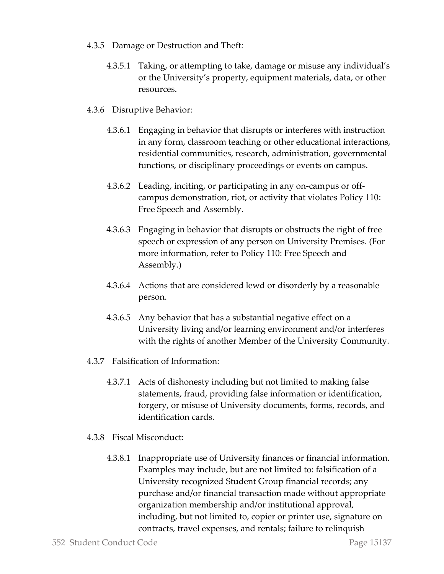- 4.3.5 Damage or Destruction and Theft*:*
	- 4.3.5.1 Taking, or attempting to take, damage or misuse any individual's or the University's property, equipment materials, data, or other resources.
- 4.3.6 Disruptive Behavior:
	- 4.3.6.1 Engaging in behavior that disrupts or interferes with instruction in any form, classroom teaching or other educational interactions, residential communities, research, administration, governmental functions, or disciplinary proceedings or events on campus.
	- 4.3.6.2 Leading, inciting, or participating in any on-campus or offcampus demonstration, riot, or activity that violates Policy 110: Free Speech and Assembly.
	- 4.3.6.3 Engaging in behavior that disrupts or obstructs the right of free speech or expression of any person on University Premises. (For more information, refer to Policy 110: Free Speech and Assembly.)
	- 4.3.6.4 Actions that are considered lewd or disorderly by a reasonable person.
	- 4.3.6.5 Any behavior that has a substantial negative effect on a University living and/or learning environment and/or interferes with the rights of another Member of the University Community.
- 4.3.7 Falsification of Information:
	- 4.3.7.1 Acts of dishonesty including but not limited to making false statements, fraud, providing false information or identification, forgery, or misuse of University documents, forms, records, and identification cards.
- 4.3.8 Fiscal Misconduct:
	- 4.3.8.1 Inappropriate use of University finances or financial information. Examples may include, but are not limited to: falsification of a University recognized Student Group financial records; any purchase and/or financial transaction made without appropriate organization membership and/or institutional approval, including, but not limited to, copier or printer use, signature on contracts, travel expenses, and rentals; failure to relinquish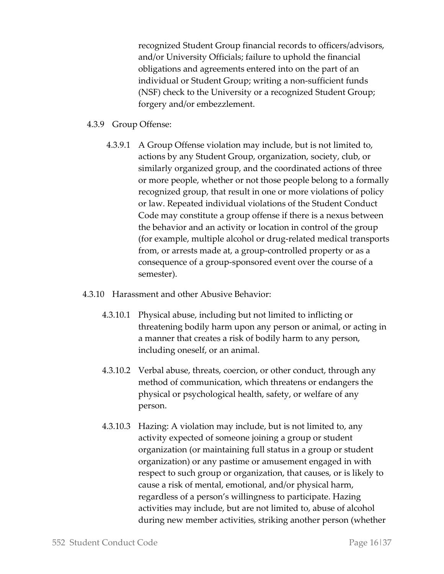recognized Student Group financial records to officers/advisors, and/or University Officials; failure to uphold the financial obligations and agreements entered into on the part of an individual or Student Group; writing a non-sufficient funds (NSF) check to the University or a recognized Student Group; forgery and/or embezzlement.

### 4.3.9 Group Offense:

- 4.3.9.1 A Group Offense violation may include, but is not limited to, actions by any Student Group, organization, society, club, or similarly organized group, and the coordinated actions of three or more people, whether or not those people belong to a formally recognized group, that result in one or more violations of policy or law. Repeated individual violations of the Student Conduct Code may constitute a group offense if there is a nexus between the behavior and an activity or location in control of the group (for example, multiple alcohol or drug-related medical transports from, or arrests made at, a group-controlled property or as a consequence of a group-sponsored event over the course of a semester).
- 4.3.10 Harassment and other Abusive Behavior:
	- 4.3.10.1 Physical abuse, including but not limited to inflicting or threatening bodily harm upon any person or animal, or acting in a manner that creates a risk of bodily harm to any person, including oneself, or an animal.
	- 4.3.10.2 Verbal abuse, threats, coercion, or other conduct, through any method of communication, which threatens or endangers the physical or psychological health, safety, or welfare of any person.
	- 4.3.10.3 Hazing: A violation may include, but is not limited to, any activity expected of someone joining a group or student organization (or maintaining full status in a group or student organization) or any pastime or amusement engaged in with respect to such group or organization, that causes, or is likely to cause a risk of mental, emotional, and/or physical harm, regardless of a person's willingness to participate. Hazing activities may include, but are not limited to, abuse of alcohol during new member activities, striking another person (whether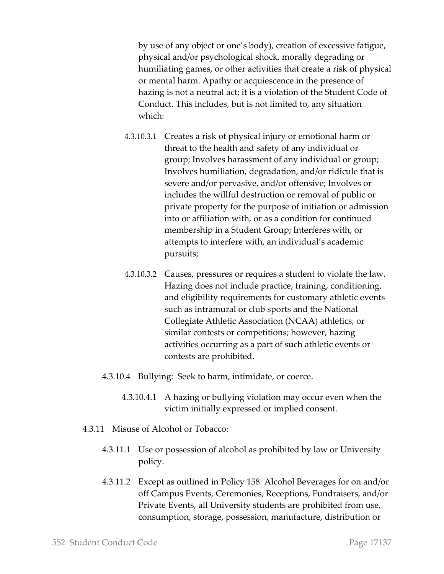by use of any object or one's body), creation of excessive fatigue, physical and/or psychological shock, morally degrading or humiliating games, or other activities that create a risk of physical or mental harm. Apathy or acquiescence in the presence of hazing is not a neutral act; it is a violation of the Student Code of Conduct. This includes, but is not limited to, any situation which:

- 4.3.10.3.1 Creates a risk of physical injury or emotional harm or threat to the health and safety of any individual or group; Involves harassment of any individual or group; Involves humiliation, degradation, and/or ridicule that is severe and/or pervasive, and/or offensive; Involves or includes the willful destruction or removal of public or private property for the purpose of initiation or admission into or affiliation with, or as a condition for continued membership in a Student Group; Interferes with, or attempts to interfere with, an individual's academic pursuits;
- 4.3.10.3.2 Causes, pressures or requires a student to violate the law. Hazing does not include practice, training, conditioning, and eligibility requirements for customary athletic events such as intramural or club sports and the National Collegiate Athletic Association (NCAA) athletics, or similar contests or competitions; however, hazing activities occurring as a part of such athletic events or contests are prohibited.
- 4.3.10.4 Bullying: Seek to harm, intimidate, or coerce.
	- 4.3.10.4.1 A hazing or bullying violation may occur even when the victim initially expressed or implied consent.
- 4.3.11 Misuse of Alcohol or Tobacco:
	- 4.3.11.1 Use or possession of alcohol as prohibited by law or University policy.
	- 4.3.11.2 Except as outlined in Policy 158: Alcohol Beverages for on and/or off Campus Events, Ceremonies, Receptions, Fundraisers, and/or Private Events, all University students are prohibited from use, consumption, storage, possession, manufacture, distribution or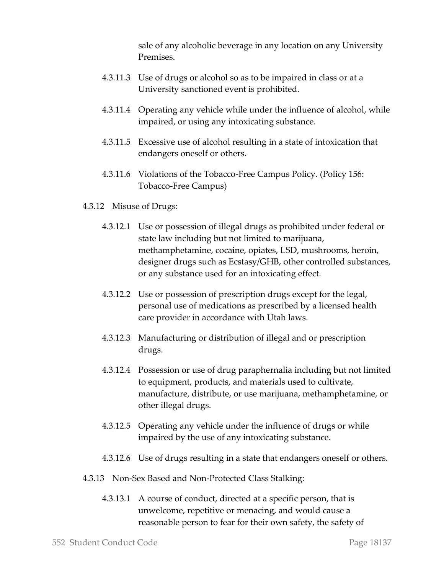sale of any alcoholic beverage in any location on any University Premises.

- 4.3.11.3 Use of drugs or alcohol so as to be impaired in class or at a University sanctioned event is prohibited.
- 4.3.11.4 Operating any vehicle while under the influence of alcohol, while impaired, or using any intoxicating substance.
- 4.3.11.5 Excessive use of alcohol resulting in a state of intoxication that endangers oneself or others.
- 4.3.11.6 Violations of the Tobacco-Free Campus Policy. (Policy 156: Tobacco-Free Campus)
- 4.3.12 Misuse of Drugs:
	- 4.3.12.1 Use or possession of illegal drugs as prohibited under federal or state law including but not limited to marijuana, methamphetamine, cocaine, opiates, LSD, mushrooms, heroin, designer drugs such as Ecstasy/GHB, other controlled substances, or any substance used for an intoxicating effect.
	- 4.3.12.2 Use or possession of prescription drugs except for the legal, personal use of medications as prescribed by a licensed health care provider in accordance with Utah laws.
	- 4.3.12.3 Manufacturing or distribution of illegal and or prescription drugs.
	- 4.3.12.4 Possession or use of drug paraphernalia including but not limited to equipment, products, and materials used to cultivate, manufacture, distribute, or use marijuana, methamphetamine, or other illegal drugs.
	- 4.3.12.5 Operating any vehicle under the influence of drugs or while impaired by the use of any intoxicating substance.
	- 4.3.12.6 Use of drugs resulting in a state that endangers oneself or others.
- 4.3.13 Non-Sex Based and Non-Protected Class Stalking:
	- 4.3.13.1 A course of conduct, directed at a specific person, that is unwelcome, repetitive or menacing, and would cause a reasonable person to fear for their own safety, the safety of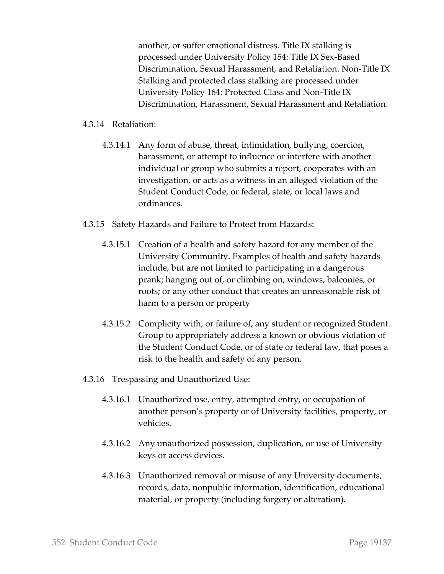another, or suffer emotional distress. Title IX stalking is processed under University Policy 154: Title IX Sex-Based Discrimination, Sexual Harassment, and Retaliation. Non-Title IX Stalking and protected class stalking are processed under University Policy 164: Protected Class and Non-Title IX Discrimination, Harassment, Sexual Harassment and Retaliation.

#### 4.3.14 Retaliation:

- 4.3.14.1 Any form of abuse, threat, intimidation, bullying, coercion, harassment, or attempt to influence or interfere with another individual or group who submits a report, cooperates with an investigation, or acts as a witness in an alleged violation of the Student Conduct Code, or federal, state, or local laws and ordinances.
- 4.3.15 Safety Hazards and Failure to Protect from Hazards:
	- 4.3.15.1 Creation of a health and safety hazard for any member of the University Community. Examples of health and safety hazards include, but are not limited to participating in a dangerous prank; hanging out of, or climbing on, windows, balconies, or roofs; or any other conduct that creates an unreasonable risk of harm to a person or property
	- 4.3.15.2 Complicity with, or failure of, any student or recognized Student Group to appropriately address a known or obvious violation of the Student Conduct Code, or of state or federal law, that poses a risk to the health and safety of any person.
- 4.3.16 Trespassing and Unauthorized Use:
	- 4.3.16.1 Unauthorized use, entry, attempted entry, or occupation of another person's property or of University facilities, property, or vehicles.
	- 4.3.16.2 Any unauthorized possession, duplication, or use of University keys or access devices.
	- 4.3.16.3 Unauthorized removal or misuse of any University documents, records, data, nonpublic information, identification, educational material, or property (including forgery or alteration).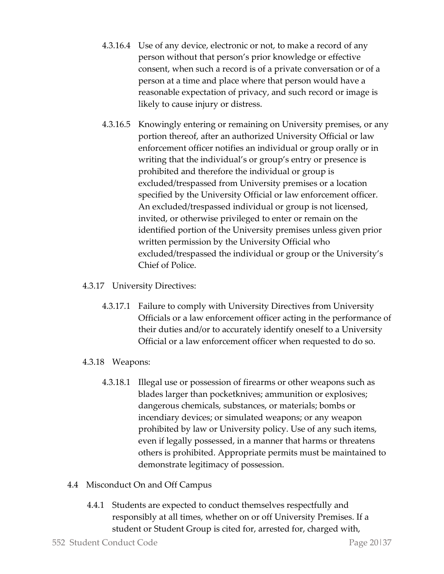- 4.3.16.4 Use of any device, electronic or not, to make a record of any person without that person's prior knowledge or effective consent, when such a record is of a private conversation or of a person at a time and place where that person would have a reasonable expectation of privacy, and such record or image is likely to cause injury or distress.
- 4.3.16.5 Knowingly entering or remaining on University premises, or any portion thereof, after an authorized University Official or law enforcement officer notifies an individual or group orally or in writing that the individual's or group's entry or presence is prohibited and therefore the individual or group is excluded/trespassed from University premises or a location specified by the University Official or law enforcement officer. An excluded/trespassed individual or group is not licensed, invited, or otherwise privileged to enter or remain on the identified portion of the University premises unless given prior written permission by the University Official who excluded/trespassed the individual or group or the University's Chief of Police.
- 4.3.17 University Directives:
	- 4.3.17.1 Failure to comply with University Directives from University Officials or a law enforcement officer acting in the performance of their duties and/or to accurately identify oneself to a University Official or a law enforcement officer when requested to do so.
- 4.3.18 Weapons:
	- 4.3.18.1 Illegal use or possession of firearms or other weapons such as blades larger than pocketknives; ammunition or explosives; dangerous chemicals, substances, or materials; bombs or incendiary devices; or simulated weapons; or any weapon prohibited by law or University policy. Use of any such items, even if legally possessed, in a manner that harms or threatens others is prohibited. Appropriate permits must be maintained to demonstrate legitimacy of possession.
- 4.4 Misconduct On and Off Campus
	- 4.4.1 Students are expected to conduct themselves respectfully and responsibly at all times, whether on or off University Premises. If a student or Student Group is cited for, arrested for, charged with,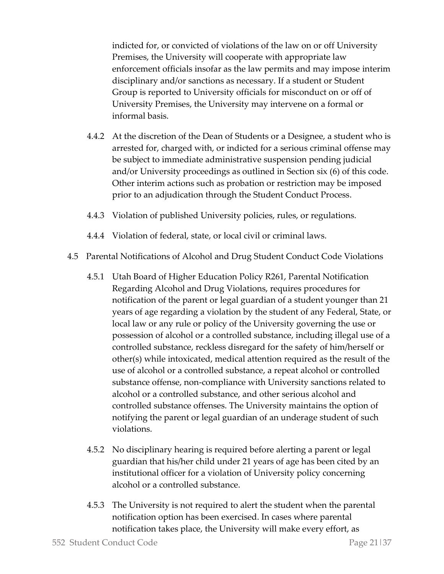indicted for, or convicted of violations of the law on or off University Premises, the University will cooperate with appropriate law enforcement officials insofar as the law permits and may impose interim disciplinary and/or sanctions as necessary. If a student or Student Group is reported to University officials for misconduct on or off of University Premises, the University may intervene on a formal or informal basis.

- 4.4.2 At the discretion of the Dean of Students or a Designee, a student who is arrested for, charged with, or indicted for a serious criminal offense may be subject to immediate administrative suspension pending judicial and/or University proceedings as outlined in Section six (6) of this code. Other interim actions such as probation or restriction may be imposed prior to an adjudication through the Student Conduct Process.
- 4.4.3 Violation of published University policies, rules, or regulations.
- 4.4.4 Violation of federal, state, or local civil or criminal laws.
- 4.5 Parental Notifications of Alcohol and Drug Student Conduct Code Violations
	- 4.5.1 Utah Board of Higher Education Policy R261, Parental Notification Regarding Alcohol and Drug Violations, requires procedures for notification of the parent or legal guardian of a student younger than 21 years of age regarding a violation by the student of any Federal, State, or local law or any rule or policy of the University governing the use or possession of alcohol or a controlled substance, including illegal use of a controlled substance, reckless disregard for the safety of him/herself or other(s) while intoxicated, medical attention required as the result of the use of alcohol or a controlled substance, a repeat alcohol or controlled substance offense, non-compliance with University sanctions related to alcohol or a controlled substance, and other serious alcohol and controlled substance offenses. The University maintains the option of notifying the parent or legal guardian of an underage student of such violations.
	- 4.5.2 No disciplinary hearing is required before alerting a parent or legal guardian that his/her child under 21 years of age has been cited by an institutional officer for a violation of University policy concerning alcohol or a controlled substance.
	- 4.5.3 The University is not required to alert the student when the parental notification option has been exercised. In cases where parental notification takes place, the University will make every effort, as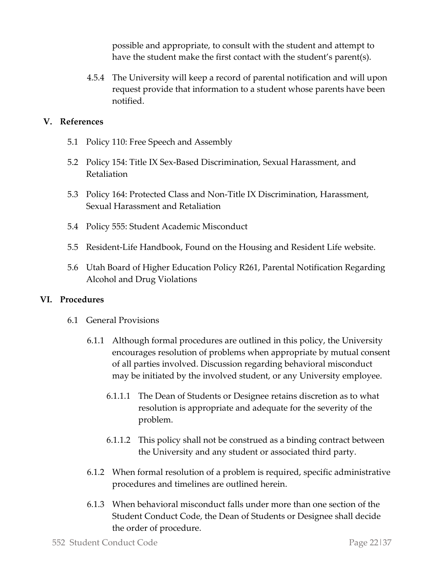possible and appropriate, to consult with the student and attempt to have the student make the first contact with the student's parent(s).

4.5.4 The University will keep a record of parental notification and will upon request provide that information to a student whose parents have been notified.

#### **V. References**

- 5.1 Policy 110: Free Speech and Assembly
- 5.2 Policy 154: Title IX Sex-Based Discrimination, Sexual Harassment, and Retaliation
- 5.3 Policy 164: Protected Class and Non-Title IX Discrimination, Harassment, Sexual Harassment and Retaliation
- 5.4 Policy 555: Student Academic Misconduct
- 5.5 Resident-Life Handbook, Found on the Housing and Resident Life website.
- 5.6 Utah Board of Higher Education Policy R261, Parental Notification Regarding Alcohol and Drug Violations

#### **VI. Procedures**

- 6.1 General Provisions
	- 6.1.1 Although formal procedures are outlined in this policy, the University encourages resolution of problems when appropriate by mutual consent of all parties involved. Discussion regarding behavioral misconduct may be initiated by the involved student, or any University employee.
		- 6.1.1.1 The Dean of Students or Designee retains discretion as to what resolution is appropriate and adequate for the severity of the problem.
		- 6.1.1.2 This policy shall not be construed as a binding contract between the University and any student or associated third party.
	- 6.1.2 When formal resolution of a problem is required, specific administrative procedures and timelines are outlined herein.
	- 6.1.3 When behavioral misconduct falls under more than one section of the Student Conduct Code, the Dean of Students or Designee shall decide the order of procedure.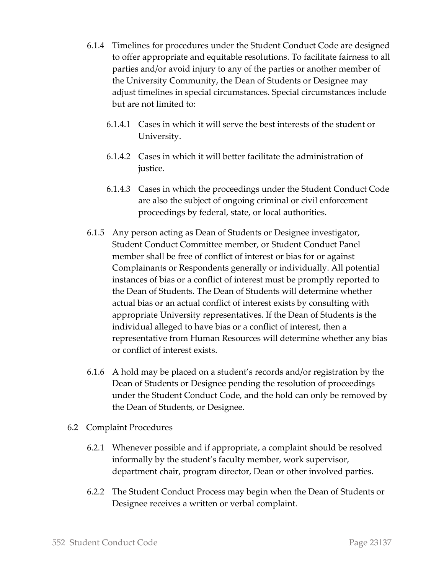- 6.1.4 Timelines for procedures under the Student Conduct Code are designed to offer appropriate and equitable resolutions. To facilitate fairness to all parties and/or avoid injury to any of the parties or another member of the University Community, the Dean of Students or Designee may adjust timelines in special circumstances. Special circumstances include but are not limited to:
	- 6.1.4.1 Cases in which it will serve the best interests of the student or University.
	- 6.1.4.2 Cases in which it will better facilitate the administration of justice.
	- 6.1.4.3 Cases in which the proceedings under the Student Conduct Code are also the subject of ongoing criminal or civil enforcement proceedings by federal, state, or local authorities.
- 6.1.5 Any person acting as Dean of Students or Designee investigator, Student Conduct Committee member, or Student Conduct Panel member shall be free of conflict of interest or bias for or against Complainants or Respondents generally or individually. All potential instances of bias or a conflict of interest must be promptly reported to the Dean of Students. The Dean of Students will determine whether actual bias or an actual conflict of interest exists by consulting with appropriate University representatives. If the Dean of Students is the individual alleged to have bias or a conflict of interest, then a representative from Human Resources will determine whether any bias or conflict of interest exists.
- 6.1.6 A hold may be placed on a student's records and/or registration by the Dean of Students or Designee pending the resolution of proceedings under the Student Conduct Code, and the hold can only be removed by the Dean of Students, or Designee.
- 6.2 Complaint Procedures
	- 6.2.1 Whenever possible and if appropriate, a complaint should be resolved informally by the student's faculty member, work supervisor, department chair, program director, Dean or other involved parties.
	- 6.2.2 The Student Conduct Process may begin when the Dean of Students or Designee receives a written or verbal complaint.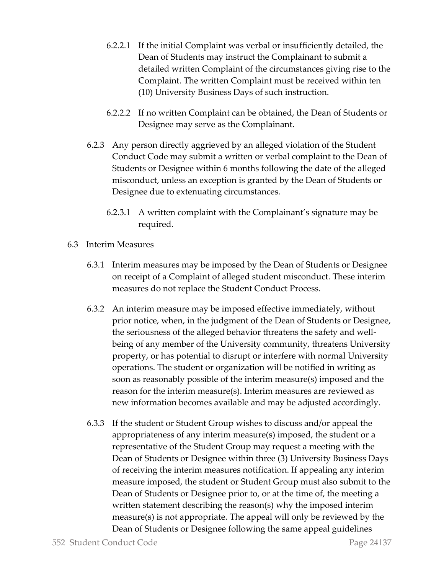- 6.2.2.1 If the initial Complaint was verbal or insufficiently detailed, the Dean of Students may instruct the Complainant to submit a detailed written Complaint of the circumstances giving rise to the Complaint. The written Complaint must be received within ten (10) University Business Days of such instruction.
- 6.2.2.2 If no written Complaint can be obtained, the Dean of Students or Designee may serve as the Complainant.
- 6.2.3 Any person directly aggrieved by an alleged violation of the Student Conduct Code may submit a written or verbal complaint to the Dean of Students or Designee within 6 months following the date of the alleged misconduct, unless an exception is granted by the Dean of Students or Designee due to extenuating circumstances.
	- 6.2.3.1 A written complaint with the Complainant's signature may be required.
- 6.3 Interim Measures
	- 6.3.1 Interim measures may be imposed by the Dean of Students or Designee on receipt of a Complaint of alleged student misconduct. These interim measures do not replace the Student Conduct Process.
	- 6.3.2 An interim measure may be imposed effective immediately, without prior notice, when, in the judgment of the Dean of Students or Designee, the seriousness of the alleged behavior threatens the safety and wellbeing of any member of the University community, threatens University property, or has potential to disrupt or interfere with normal University operations. The student or organization will be notified in writing as soon as reasonably possible of the interim measure(s) imposed and the reason for the interim measure(s). Interim measures are reviewed as new information becomes available and may be adjusted accordingly.
	- 6.3.3 If the student or Student Group wishes to discuss and/or appeal the appropriateness of any interim measure(s) imposed, the student or a representative of the Student Group may request a meeting with the Dean of Students or Designee within three (3) University Business Days of receiving the interim measures notification. If appealing any interim measure imposed, the student or Student Group must also submit to the Dean of Students or Designee prior to, or at the time of, the meeting a written statement describing the reason(s) why the imposed interim measure(s) is not appropriate. The appeal will only be reviewed by the Dean of Students or Designee following the same appeal guidelines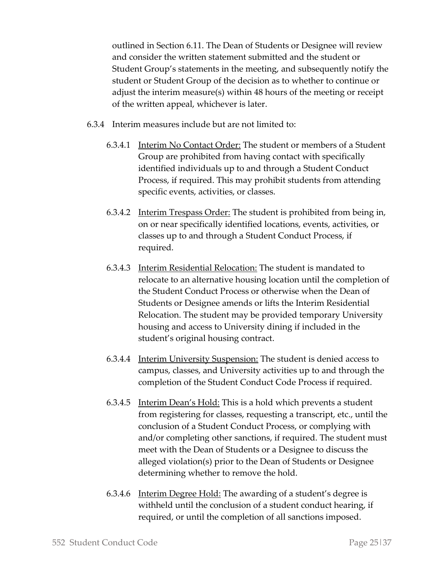outlined in Section 6.11. The Dean of Students or Designee will review and consider the written statement submitted and the student or Student Group's statements in the meeting, and subsequently notify the student or Student Group of the decision as to whether to continue or adjust the interim measure(s) within 48 hours of the meeting or receipt of the written appeal, whichever is later.

- 6.3.4 Interim measures include but are not limited to:
	- 6.3.4.1 Interim No Contact Order: The student or members of a Student Group are prohibited from having contact with specifically identified individuals up to and through a Student Conduct Process, if required. This may prohibit students from attending specific events, activities, or classes.
	- 6.3.4.2 Interim Trespass Order: The student is prohibited from being in, on or near specifically identified locations, events, activities, or classes up to and through a Student Conduct Process, if required.
	- 6.3.4.3 Interim Residential Relocation: The student is mandated to relocate to an alternative housing location until the completion of the Student Conduct Process or otherwise when the Dean of Students or Designee amends or lifts the Interim Residential Relocation. The student may be provided temporary University housing and access to University dining if included in the student's original housing contract.
	- 6.3.4.4 Interim University Suspension: The student is denied access to campus, classes, and University activities up to and through the completion of the Student Conduct Code Process if required.
	- 6.3.4.5 Interim Dean's Hold: This is a hold which prevents a student from registering for classes, requesting a transcript, etc., until the conclusion of a Student Conduct Process, or complying with and/or completing other sanctions, if required. The student must meet with the Dean of Students or a Designee to discuss the alleged violation(s) prior to the Dean of Students or Designee determining whether to remove the hold.
	- 6.3.4.6 Interim Degree Hold: The awarding of a student's degree is withheld until the conclusion of a student conduct hearing, if required, or until the completion of all sanctions imposed.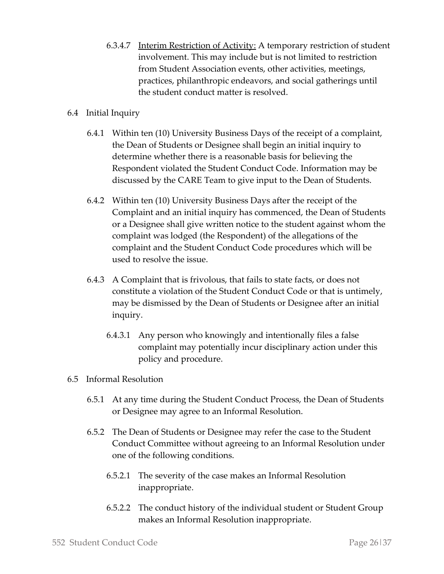6.3.4.7 Interim Restriction of Activity: A temporary restriction of student involvement. This may include but is not limited to restriction from Student Association events, other activities, meetings, practices, philanthropic endeavors, and social gatherings until the student conduct matter is resolved.

#### 6.4 Initial Inquiry

- 6.4.1 Within ten (10) University Business Days of the receipt of a complaint, the Dean of Students or Designee shall begin an initial inquiry to determine whether there is a reasonable basis for believing the Respondent violated the Student Conduct Code. Information may be discussed by the CARE Team to give input to the Dean of Students.
- 6.4.2 Within ten (10) University Business Days after the receipt of the Complaint and an initial inquiry has commenced, the Dean of Students or a Designee shall give written notice to the student against whom the complaint was lodged (the Respondent) of the allegations of the complaint and the Student Conduct Code procedures which will be used to resolve the issue.
- 6.4.3 A Complaint that is frivolous, that fails to state facts, or does not constitute a violation of the Student Conduct Code or that is untimely, may be dismissed by the Dean of Students or Designee after an initial inquiry.
	- 6.4.3.1 Any person who knowingly and intentionally files a false complaint may potentially incur disciplinary action under this policy and procedure.

#### 6.5 Informal Resolution

- 6.5.1 At any time during the Student Conduct Process, the Dean of Students or Designee may agree to an Informal Resolution.
- 6.5.2 The Dean of Students or Designee may refer the case to the Student Conduct Committee without agreeing to an Informal Resolution under one of the following conditions.
	- 6.5.2.1 The severity of the case makes an Informal Resolution inappropriate.
	- 6.5.2.2 The conduct history of the individual student or Student Group makes an Informal Resolution inappropriate.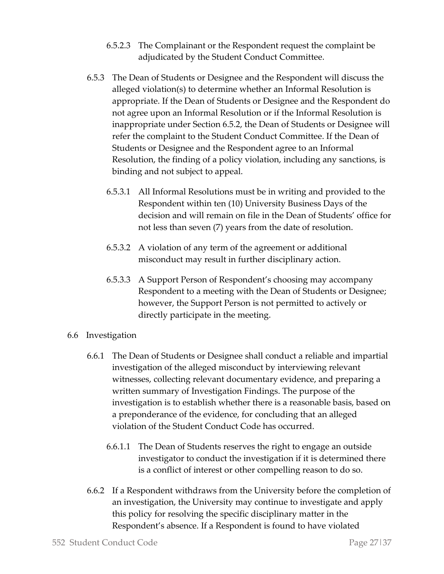- 6.5.2.3 The Complainant or the Respondent request the complaint be adjudicated by the Student Conduct Committee.
- 6.5.3 The Dean of Students or Designee and the Respondent will discuss the alleged violation(s) to determine whether an Informal Resolution is appropriate. If the Dean of Students or Designee and the Respondent do not agree upon an Informal Resolution or if the Informal Resolution is inappropriate under Section 6.5.2, the Dean of Students or Designee will refer the complaint to the Student Conduct Committee. If the Dean of Students or Designee and the Respondent agree to an Informal Resolution, the finding of a policy violation, including any sanctions, is binding and not subject to appeal.
	- 6.5.3.1 All Informal Resolutions must be in writing and provided to the Respondent within ten (10) University Business Days of the decision and will remain on file in the Dean of Students' office for not less than seven (7) years from the date of resolution.
	- 6.5.3.2 A violation of any term of the agreement or additional misconduct may result in further disciplinary action.
	- 6.5.3.3 A Support Person of Respondent's choosing may accompany Respondent to a meeting with the Dean of Students or Designee; however, the Support Person is not permitted to actively or directly participate in the meeting.
- 6.6 Investigation
	- 6.6.1 The Dean of Students or Designee shall conduct a reliable and impartial investigation of the alleged misconduct by interviewing relevant witnesses, collecting relevant documentary evidence, and preparing a written summary of Investigation Findings. The purpose of the investigation is to establish whether there is a reasonable basis, based on a preponderance of the evidence, for concluding that an alleged violation of the Student Conduct Code has occurred.
		- 6.6.1.1 The Dean of Students reserves the right to engage an outside investigator to conduct the investigation if it is determined there is a conflict of interest or other compelling reason to do so.
	- 6.6.2 If a Respondent withdraws from the University before the completion of an investigation, the University may continue to investigate and apply this policy for resolving the specific disciplinary matter in the Respondent's absence. If a Respondent is found to have violated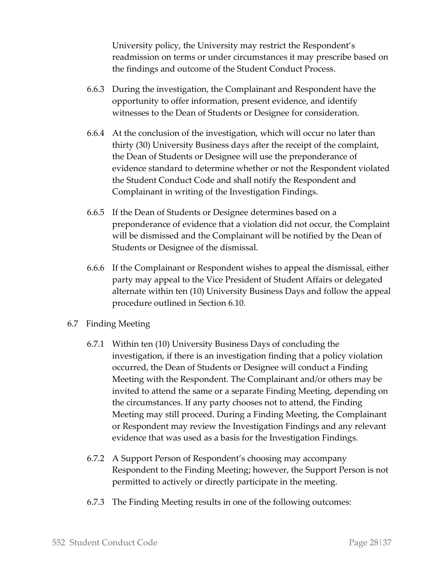University policy, the University may restrict the Respondent's readmission on terms or under circumstances it may prescribe based on the findings and outcome of the Student Conduct Process.

- 6.6.3 During the investigation, the Complainant and Respondent have the opportunity to offer information, present evidence, and identify witnesses to the Dean of Students or Designee for consideration.
- 6.6.4 At the conclusion of the investigation, which will occur no later than thirty (30) University Business days after the receipt of the complaint, the Dean of Students or Designee will use the preponderance of evidence standard to determine whether or not the Respondent violated the Student Conduct Code and shall notify the Respondent and Complainant in writing of the Investigation Findings.
- 6.6.5 If the Dean of Students or Designee determines based on a preponderance of evidence that a violation did not occur, the Complaint will be dismissed and the Complainant will be notified by the Dean of Students or Designee of the dismissal.
- 6.6.6 If the Complainant or Respondent wishes to appeal the dismissal, either party may appeal to the Vice President of Student Affairs or delegated alternate within ten (10) University Business Days and follow the appeal procedure outlined in Section 6.10.
- 6.7 Finding Meeting
	- 6.7.1 Within ten (10) University Business Days of concluding the investigation, if there is an investigation finding that a policy violation occurred, the Dean of Students or Designee will conduct a Finding Meeting with the Respondent. The Complainant and/or others may be invited to attend the same or a separate Finding Meeting, depending on the circumstances. If any party chooses not to attend, the Finding Meeting may still proceed. During a Finding Meeting, the Complainant or Respondent may review the Investigation Findings and any relevant evidence that was used as a basis for the Investigation Findings.
	- 6.7.2 A Support Person of Respondent's choosing may accompany Respondent to the Finding Meeting; however, the Support Person is not permitted to actively or directly participate in the meeting.
	- 6.7.3 The Finding Meeting results in one of the following outcomes: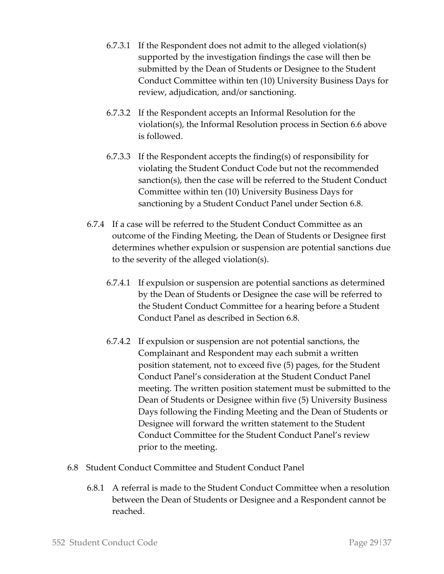- 6.7.3.1 If the Respondent does not admit to the alleged violation(s) supported by the investigation findings the case will then be submitted by the Dean of Students or Designee to the Student Conduct Committee within ten (10) University Business Days for review, adjudication, and/or sanctioning.
- 6.7.3.2 If the Respondent accepts an Informal Resolution for the violation(s), the Informal Resolution process in Section 6.6 above is followed.
- 6.7.3.3 If the Respondent accepts the finding(s) of responsibility for violating the Student Conduct Code but not the recommended sanction(s), then the case will be referred to the Student Conduct Committee within ten (10) University Business Days for sanctioning by a Student Conduct Panel under Section 6.8.
- 6.7.4 If a case will be referred to the Student Conduct Committee as an outcome of the Finding Meeting, the Dean of Students or Designee first determines whether expulsion or suspension are potential sanctions due to the severity of the alleged violation(s).
	- 6.7.4.1 If expulsion or suspension are potential sanctions as determined by the Dean of Students or Designee the case will be referred to the Student Conduct Committee for a hearing before a Student Conduct Panel as described in Section 6.8.
	- 6.7.4.2 If expulsion or suspension are not potential sanctions, the Complainant and Respondent may each submit a written position statement, not to exceed five (5) pages, for the Student Conduct Panel's consideration at the Student Conduct Panel meeting. The written position statement must be submitted to the Dean of Students or Designee within five (5) University Business Days following the Finding Meeting and the Dean of Students or Designee will forward the written statement to the Student Conduct Committee for the Student Conduct Panel's review prior to the meeting.
- 6.8 Student Conduct Committee and Student Conduct Panel
	- 6.8.1 A referral is made to the Student Conduct Committee when a resolution between the Dean of Students or Designee and a Respondent cannot be reached.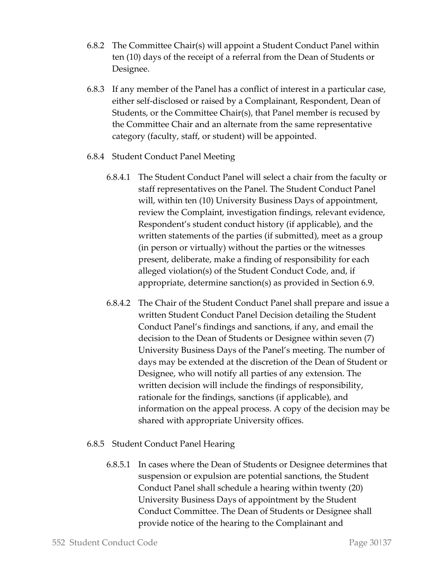- 6.8.2 The Committee Chair(s) will appoint a Student Conduct Panel within ten (10) days of the receipt of a referral from the Dean of Students or Designee.
- 6.8.3 If any member of the Panel has a conflict of interest in a particular case, either self-disclosed or raised by a Complainant, Respondent, Dean of Students, or the Committee Chair(s), that Panel member is recused by the Committee Chair and an alternate from the same representative category (faculty, staff, or student) will be appointed.
- 6.8.4 Student Conduct Panel Meeting
	- 6.8.4.1 The Student Conduct Panel will select a chair from the faculty or staff representatives on the Panel. The Student Conduct Panel will, within ten (10) University Business Days of appointment, review the Complaint, investigation findings, relevant evidence, Respondent's student conduct history (if applicable), and the written statements of the parties (if submitted), meet as a group (in person or virtually) without the parties or the witnesses present, deliberate, make a finding of responsibility for each alleged violation(s) of the Student Conduct Code, and, if appropriate, determine sanction(s) as provided in Section 6.9.
	- 6.8.4.2 The Chair of the Student Conduct Panel shall prepare and issue a written Student Conduct Panel Decision detailing the Student Conduct Panel's findings and sanctions, if any, and email the decision to the Dean of Students or Designee within seven (7) University Business Days of the Panel's meeting. The number of days may be extended at the discretion of the Dean of Student or Designee, who will notify all parties of any extension. The written decision will include the findings of responsibility, rationale for the findings, sanctions (if applicable), and information on the appeal process. A copy of the decision may be shared with appropriate University offices.

## 6.8.5 Student Conduct Panel Hearing

6.8.5.1 In cases where the Dean of Students or Designee determines that suspension or expulsion are potential sanctions, the Student Conduct Panel shall schedule a hearing within twenty (20) University Business Days of appointment by the Student Conduct Committee. The Dean of Students or Designee shall provide notice of the hearing to the Complainant and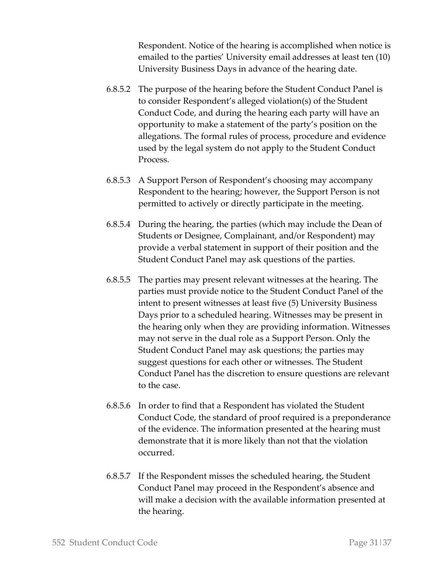Respondent. Notice of the hearing is accomplished when notice is emailed to the parties' University email addresses at least ten (10) University Business Days in advance of the hearing date.

- 6.8.5.2 The purpose of the hearing before the Student Conduct Panel is to consider Respondent's alleged violation(s) of the Student Conduct Code, and during the hearing each party will have an opportunity to make a statement of the party's position on the allegations. The formal rules of process, procedure and evidence used by the legal system do not apply to the Student Conduct Process.
- 6.8.5.3 A Support Person of Respondent's choosing may accompany Respondent to the hearing; however, the Support Person is not permitted to actively or directly participate in the meeting.
- 6.8.5.4 During the hearing, the parties (which may include the Dean of Students or Designee, Complainant, and/or Respondent) may provide a verbal statement in support of their position and the Student Conduct Panel may ask questions of the parties.
- 6.8.5.5 The parties may present relevant witnesses at the hearing. The parties must provide notice to the Student Conduct Panel of the intent to present witnesses at least five (5) University Business Days prior to a scheduled hearing. Witnesses may be present in the hearing only when they are providing information. Witnesses may not serve in the dual role as a Support Person. Only the Student Conduct Panel may ask questions; the parties may suggest questions for each other or witnesses. The Student Conduct Panel has the discretion to ensure questions are relevant to the case.
- 6.8.5.6 In order to find that a Respondent has violated the Student Conduct Code, the standard of proof required is a preponderance of the evidence. The information presented at the hearing must demonstrate that it is more likely than not that the violation occurred.
- 6.8.5.7 If the Respondent misses the scheduled hearing, the Student Conduct Panel may proceed in the Respondent's absence and will make a decision with the available information presented at the hearing.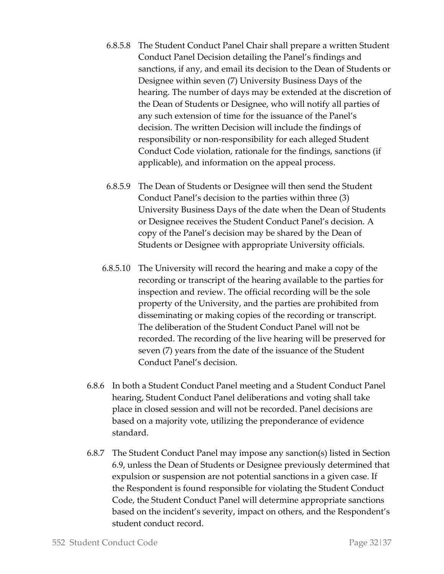- 6.8.5.8 The Student Conduct Panel Chair shall prepare a written Student Conduct Panel Decision detailing the Panel's findings and sanctions, if any, and email its decision to the Dean of Students or Designee within seven (7) University Business Days of the hearing. The number of days may be extended at the discretion of the Dean of Students or Designee, who will notify all parties of any such extension of time for the issuance of the Panel's decision. The written Decision will include the findings of responsibility or non-responsibility for each alleged Student Conduct Code violation, rationale for the findings, sanctions (if applicable), and information on the appeal process.
- 6.8.5.9 The Dean of Students or Designee will then send the Student Conduct Panel's decision to the parties within three (3) University Business Days of the date when the Dean of Students or Designee receives the Student Conduct Panel's decision. A copy of the Panel's decision may be shared by the Dean of Students or Designee with appropriate University officials.
- 6.8.5.10 The University will record the hearing and make a copy of the recording or transcript of the hearing available to the parties for inspection and review. The official recording will be the sole property of the University, and the parties are prohibited from disseminating or making copies of the recording or transcript. The deliberation of the Student Conduct Panel will not be recorded. The recording of the live hearing will be preserved for seven (7) years from the date of the issuance of the Student Conduct Panel's decision.
- 6.8.6 In both a Student Conduct Panel meeting and a Student Conduct Panel hearing, Student Conduct Panel deliberations and voting shall take place in closed session and will not be recorded. Panel decisions are based on a majority vote, utilizing the preponderance of evidence standard.
- 6.8.7 The Student Conduct Panel may impose any sanction(s) listed in Section 6.9, unless the Dean of Students or Designee previously determined that expulsion or suspension are not potential sanctions in a given case. If the Respondent is found responsible for violating the Student Conduct Code, the Student Conduct Panel will determine appropriate sanctions based on the incident's severity, impact on others, and the Respondent's student conduct record.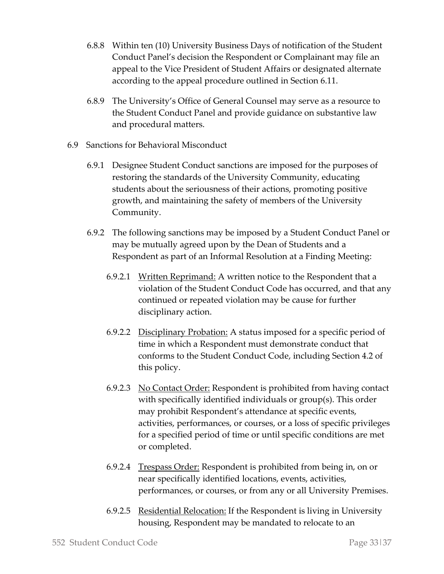- 6.8.8 Within ten (10) University Business Days of notification of the Student Conduct Panel's decision the Respondent or Complainant may file an appeal to the Vice President of Student Affairs or designated alternate according to the appeal procedure outlined in Section 6.11.
- 6.8.9 The University's Office of General Counsel may serve as a resource to the Student Conduct Panel and provide guidance on substantive law and procedural matters.
- 6.9 Sanctions for Behavioral Misconduct
	- 6.9.1 Designee Student Conduct sanctions are imposed for the purposes of restoring the standards of the University Community, educating students about the seriousness of their actions, promoting positive growth, and maintaining the safety of members of the University Community.
	- 6.9.2 The following sanctions may be imposed by a Student Conduct Panel or may be mutually agreed upon by the Dean of Students and a Respondent as part of an Informal Resolution at a Finding Meeting:
		- 6.9.2.1 Written Reprimand: A written notice to the Respondent that a violation of the Student Conduct Code has occurred, and that any continued or repeated violation may be cause for further disciplinary action.
		- 6.9.2.2 Disciplinary Probation: A status imposed for a specific period of time in which a Respondent must demonstrate conduct that conforms to the Student Conduct Code, including Section 4.2 of this policy.
		- 6.9.2.3 No Contact Order: Respondent is prohibited from having contact with specifically identified individuals or group(s). This order may prohibit Respondent's attendance at specific events, activities, performances, or courses, or a loss of specific privileges for a specified period of time or until specific conditions are met or completed.
		- 6.9.2.4 Trespass Order: Respondent is prohibited from being in, on or near specifically identified locations, events, activities, performances, or courses, or from any or all University Premises.
		- 6.9.2.5 Residential Relocation: If the Respondent is living in University housing, Respondent may be mandated to relocate to an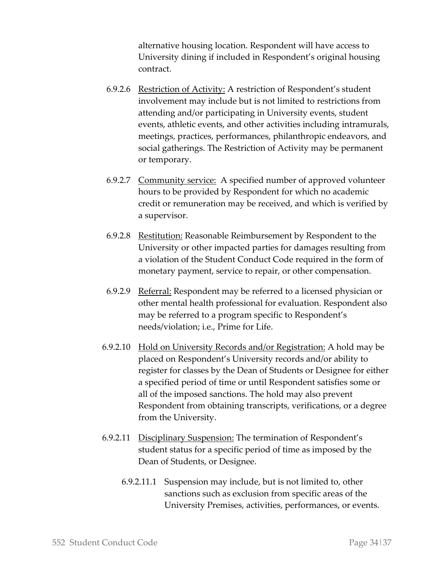alternative housing location. Respondent will have access to University dining if included in Respondent's original housing contract.

- 6.9.2.6 Restriction of Activity: A restriction of Respondent's student involvement may include but is not limited to restrictions from attending and/or participating in University events, student events, athletic events, and other activities including intramurals, meetings, practices, performances, philanthropic endeavors, and social gatherings. The Restriction of Activity may be permanent or temporary.
- 6.9.2.7 Community service: A specified number of approved volunteer hours to be provided by Respondent for which no academic credit or remuneration may be received, and which is verified by a supervisor.
- 6.9.2.8 Restitution: Reasonable Reimbursement by Respondent to the University or other impacted parties for damages resulting from a violation of the Student Conduct Code required in the form of monetary payment, service to repair, or other compensation.
- 6.9.2.9 Referral: Respondent may be referred to a licensed physician or other mental health professional for evaluation. Respondent also may be referred to a program specific to Respondent's needs/violation; i.e., Prime for Life.
- 6.9.2.10 Hold on University Records and/or Registration: A hold may be placed on Respondent's University records and/or ability to register for classes by the Dean of Students or Designee for either a specified period of time or until Respondent satisfies some or all of the imposed sanctions. The hold may also prevent Respondent from obtaining transcripts, verifications, or a degree from the University.
- 6.9.2.11 Disciplinary Suspension: The termination of Respondent's student status for a specific period of time as imposed by the Dean of Students, or Designee.
	- 6.9.2.11.1 Suspension may include, but is not limited to, other sanctions such as exclusion from specific areas of the University Premises, activities, performances, or events.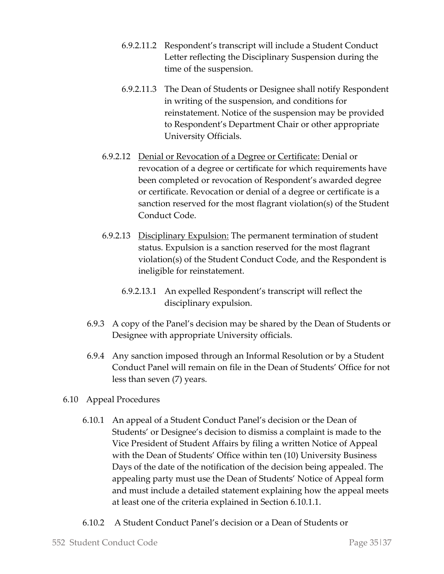- 6.9.2.11.2 Respondent's transcript will include a Student Conduct Letter reflecting the Disciplinary Suspension during the time of the suspension.
- 6.9.2.11.3 The Dean of Students or Designee shall notify Respondent in writing of the suspension, and conditions for reinstatement. Notice of the suspension may be provided to Respondent's Department Chair or other appropriate University Officials.
- 6.9.2.12 Denial or Revocation of a Degree or Certificate: Denial or revocation of a degree or certificate for which requirements have been completed or revocation of Respondent's awarded degree or certificate. Revocation or denial of a degree or certificate is a sanction reserved for the most flagrant violation(s) of the Student Conduct Code.
- 6.9.2.13 Disciplinary Expulsion: The permanent termination of student status. Expulsion is a sanction reserved for the most flagrant violation(s) of the Student Conduct Code, and the Respondent is ineligible for reinstatement.
	- 6.9.2.13.1 An expelled Respondent's transcript will reflect the disciplinary expulsion.
- 6.9.3 A copy of the Panel's decision may be shared by the Dean of Students or Designee with appropriate University officials.
- 6.9.4 Any sanction imposed through an Informal Resolution or by a Student Conduct Panel will remain on file in the Dean of Students' Office for not less than seven (7) years.
- 6.10 Appeal Procedures
	- 6.10.1 An appeal of a Student Conduct Panel's decision or the Dean of Students' or Designee's decision to dismiss a complaint is made to the Vice President of Student Affairs by filing a written Notice of Appeal with the Dean of Students' Office within ten (10) University Business Days of the date of the notification of the decision being appealed. The appealing party must use the Dean of Students' Notice of Appeal form and must include a detailed statement explaining how the appeal meets at least one of the criteria explained in Section 6.10.1.1.
	- 6.10.2 A Student Conduct Panel's decision or a Dean of Students or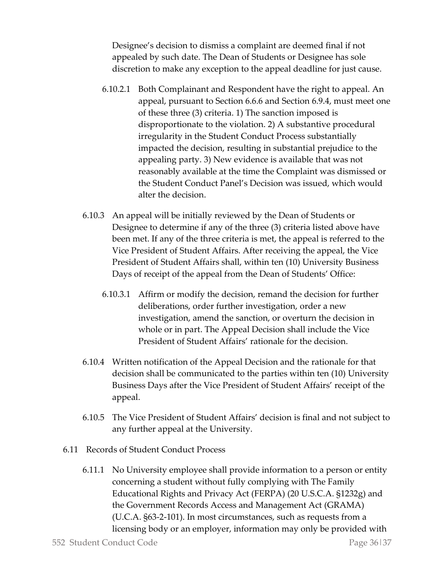Designee's decision to dismiss a complaint are deemed final if not appealed by such date. The Dean of Students or Designee has sole discretion to make any exception to the appeal deadline for just cause.

- 6.10.2.1 Both Complainant and Respondent have the right to appeal. An appeal, pursuant to Section 6.6.6 and Section 6.9.4, must meet one of these three (3) criteria. 1) The sanction imposed is disproportionate to the violation. 2) A substantive procedural irregularity in the Student Conduct Process substantially impacted the decision, resulting in substantial prejudice to the appealing party. 3) New evidence is available that was not reasonably available at the time the Complaint was dismissed or the Student Conduct Panel's Decision was issued, which would alter the decision.
- 6.10.3 An appeal will be initially reviewed by the Dean of Students or Designee to determine if any of the three (3) criteria listed above have been met. If any of the three criteria is met, the appeal is referred to the Vice President of Student Affairs. After receiving the appeal, the Vice President of Student Affairs shall, within ten (10) University Business Days of receipt of the appeal from the Dean of Students' Office:
	- 6.10.3.1 Affirm or modify the decision, remand the decision for further deliberations, order further investigation, order a new investigation, amend the sanction, or overturn the decision in whole or in part. The Appeal Decision shall include the Vice President of Student Affairs' rationale for the decision.
- 6.10.4 Written notification of the Appeal Decision and the rationale for that decision shall be communicated to the parties within ten (10) University Business Days after the Vice President of Student Affairs' receipt of the appeal.
- 6.10.5 The Vice President of Student Affairs' decision is final and not subject to any further appeal at the University.
- 6.11 Records of Student Conduct Process
	- 6.11.1 No University employee shall provide information to a person or entity concerning a student without fully complying with The Family Educational Rights and Privacy Act (FERPA) (20 U.S.C.A. §1232g) and the Government Records Access and Management Act (GRAMA) (U.C.A. §63-2-101). In most circumstances, such as requests from a licensing body or an employer, information may only be provided with